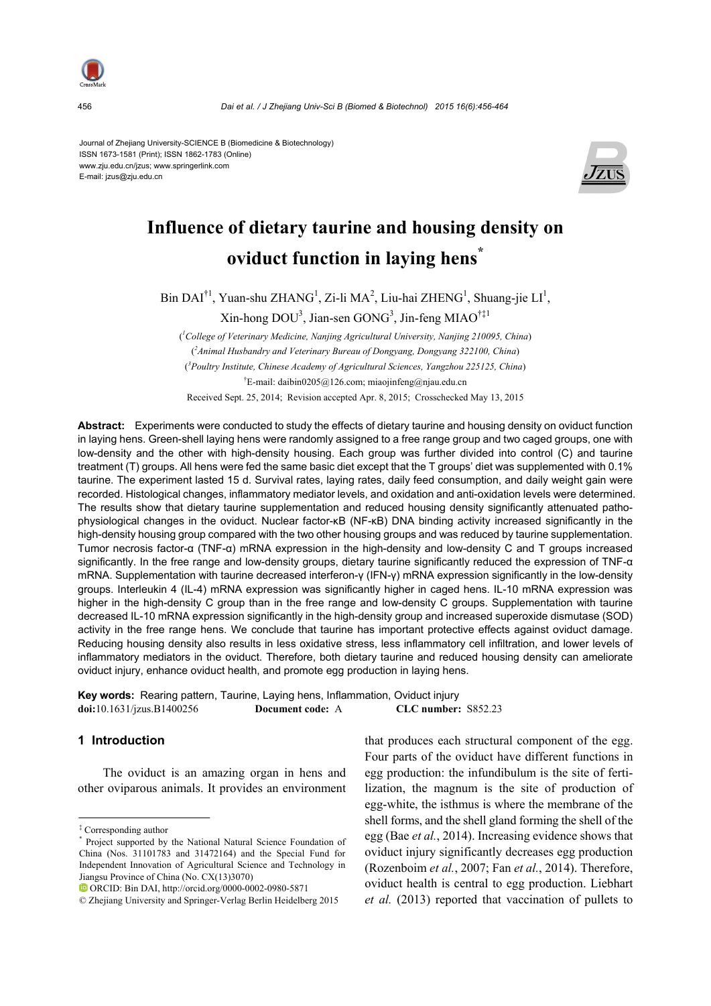

Journal of Zhejiang University-SCIENCE B (Biomedicine & Biotechnology) ISSN 1673-1581 (Print); ISSN 1862-1783 (Online) www.zju.edu.cn/jzus; www.springerlink.com E-mail: jzus@zju.edu.cn



# **Influence of dietary taurine and housing density on oviduct function in laying hens\***

 $\text{Bin } \text{DAI}^{\dagger 1}$ , Yuan-shu ZHANG<sup>1</sup>, Zi-li MA<sup>2</sup>, Liu-hai ZHENG<sup>1</sup>, Shuang-jie LI<sup>1</sup>,

 $\text{Xin-hong DOU}^3$ , Jian-sen  $\text{GONG}^3$ , Jin-feng MIAO<sup>†‡1</sup>

( *1 College of Veterinary Medicine, Nanjing Agricultural University, Nanjing 210095, China*) ( *2 Animal Husbandry and Veterinary Bureau of Dongyang, Dongyang 322100, China*) ( *3 Poultry Institute, Chinese Academy of Agricultural Sciences, Yangzhou 225125, China*) <sup>†</sup>E-mail: daibin0205@126.com; miaojinfeng@njau.edu.cn

Received Sept. 25, 2014; Revision accepted Apr. 8, 2015; Crosschecked May 13, 2015

**Abstract:** Experiments were conducted to study the effects of dietary taurine and housing density on oviduct function in laying hens. Green-shell laying hens were randomly assigned to a free range group and two caged groups, one with low-density and the other with high-density housing. Each group was further divided into control (C) and taurine treatment (T) groups. All hens were fed the same basic diet except that the T groups' diet was supplemented with 0.1% taurine. The experiment lasted 15 d. Survival rates, laying rates, daily feed consumption, and daily weight gain were recorded. Histological changes, inflammatory mediator levels, and oxidation and anti-oxidation levels were determined. The results show that dietary taurine supplementation and reduced housing density significantly attenuated pathophysiological changes in the oviduct. Nuclear factor-κB (NF-κB) DNA binding activity increased significantly in the high-density housing group compared with the two other housing groups and was reduced by taurine supplementation. Tumor necrosis factor-α (TNF-α) mRNA expression in the high-density and low-density C and T groups increased significantly. In the free range and low-density groups, dietary taurine significantly reduced the expression of TNF-α mRNA. Supplementation with taurine decreased interferon-γ (IFN-γ) mRNA expression significantly in the low-density groups. Interleukin 4 (IL-4) mRNA expression was significantly higher in caged hens. IL-10 mRNA expression was higher in the high-density C group than in the free range and low-density C groups. Supplementation with taurine decreased IL-10 mRNA expression significantly in the high-density group and increased superoxide dismutase (SOD) activity in the free range hens. We conclude that taurine has important protective effects against oviduct damage. Reducing housing density also results in less oxidative stress, less inflammatory cell infiltration, and lower levels of inflammatory mediators in the oviduct. Therefore, both dietary taurine and reduced housing density can ameliorate oviduct injury, enhance oviduct health, and promote egg production in laying hens.

**Key words:** Rearing pattern, Taurine, Laying hens, Inflammation, Oviduct injury **doi:**10.1631/jzus.B1400256 **Document code:** A **CLC number:** S852.23

## **1 Introduction**

The oviduct is an amazing organ in hens and other oviparous animals. It provides an environment that produces each structural component of the egg. Four parts of the oviduct have different functions in egg production: the infundibulum is the site of fertilization, the magnum is the site of production of egg-white, the isthmus is where the membrane of the shell forms, and the shell gland forming the shell of the egg (Bae *et al.*, 2014). Increasing evidence shows that oviduct injury significantly decreases egg production (Rozenboim *et al.*, 2007; Fan *et al.*, 2014). Therefore, oviduct health is central to egg production. Liebhart *et al.* (2013) reported that vaccination of pullets to

<sup>‡</sup> Corresponding author

<sup>\*</sup> Project supported by the National Natural Science Foundation of China (Nos. 31101783 and 31472164) and the Special Fund for Independent Innovation of Agricultural Science and Technology in Jiangsu Province of China (No. CX(13)3070)

ORCID: Bin DAI, http://orcid.org/0000-0002-0980-5871

<sup>©</sup> Zhejiang University and Springer-Verlag Berlin Heidelberg 2015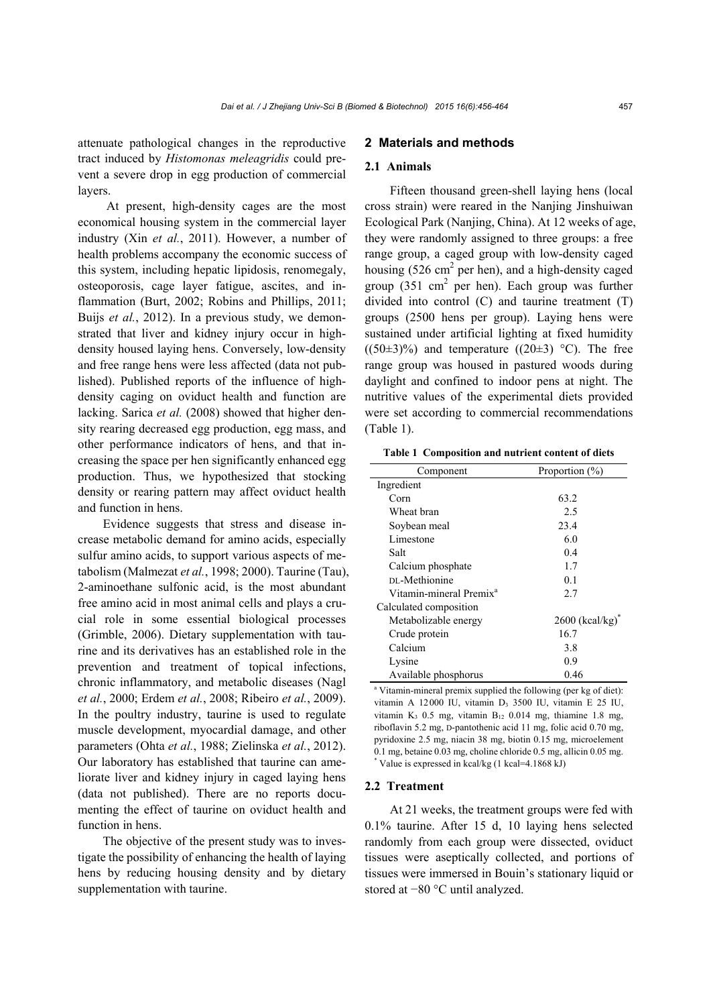attenuate pathological changes in the reproductive tract induced by *Histomonas meleagridis* could prevent a severe drop in egg production of commercial layers.

At present, high-density cages are the most economical housing system in the commercial layer industry (Xin *et al.*, 2011). However, a number of health problems accompany the economic success of this system, including hepatic lipidosis, renomegaly, osteoporosis, cage layer fatigue, ascites, and inflammation (Burt, 2002; Robins and Phillips, 2011; Buijs *et al.*, 2012). In a previous study, we demonstrated that liver and kidney injury occur in highdensity housed laying hens. Conversely, low-density and free range hens were less affected (data not published). Published reports of the influence of highdensity caging on oviduct health and function are lacking. Sarica *et al.* (2008) showed that higher density rearing decreased egg production, egg mass, and other performance indicators of hens, and that increasing the space per hen significantly enhanced egg production. Thus, we hypothesized that stocking density or rearing pattern may affect oviduct health and function in hens.

Evidence suggests that stress and disease increase metabolic demand for amino acids, especially sulfur amino acids, to support various aspects of metabolism (Malmezat *et al.*, 1998; 2000). Taurine (Tau), 2-aminoethane sulfonic acid, is the most abundant free amino acid in most animal cells and plays a crucial role in some essential biological processes (Grimble, 2006). Dietary supplementation with taurine and its derivatives has an established role in the prevention and treatment of topical infections, chronic inflammatory, and metabolic diseases (Nagl *et al.*, 2000; Erdem *et al.*, 2008; Ribeiro *et al.*, 2009). In the poultry industry, taurine is used to regulate muscle development, myocardial damage, and other parameters (Ohta *et al.*, 1988; Zielinska *et al.*, 2012). Our laboratory has established that taurine can ameliorate liver and kidney injury in caged laying hens (data not published). There are no reports documenting the effect of taurine on oviduct health and function in hens.

The objective of the present study was to investigate the possibility of enhancing the health of laying hens by reducing housing density and by dietary supplementation with taurine.

## **2 Materials and methods**

#### **2.1 Animals**

Fifteen thousand green-shell laying hens (local cross strain) were reared in the Nanjing Jinshuiwan Ecological Park (Nanjing, China). At 12 weeks of age, they were randomly assigned to three groups: a free range group, a caged group with low-density caged housing  $(526 \text{ cm}^2 \text{ per hen})$ , and a high-density caged group  $(351 \text{ cm}^2 \text{ per hen})$ . Each group was further divided into control (C) and taurine treatment (T) groups (2500 hens per group). Laying hens were sustained under artificial lighting at fixed humidity  $((50\pm3)\%)$  and temperature  $((20\pm3)$  °C). The free range group was housed in pastured woods during daylight and confined to indoor pens at night. The nutritive values of the experimental diets provided were set according to commercial recommendations (Table 1).

**Table 1 Composition and nutrient content of diets**

| Component                           | Proportion $(\% )$            |
|-------------------------------------|-------------------------------|
| Ingredient                          |                               |
| Corn                                | 63.2                          |
| Wheat bran                          | 2.5                           |
| Soybean meal                        | 23.4                          |
| Limestone                           | 6.0                           |
| Salt                                | 0.4                           |
| Calcium phosphate                   | 1.7                           |
| DL-Methionine                       | 0.1                           |
| Vitamin-mineral Premix <sup>a</sup> | 2.7                           |
| Calculated composition              |                               |
| Metabolizable energy                | $2600$ (kcal/kg) <sup>*</sup> |
| Crude protein                       | 16.7                          |
| Calcium                             | 3.8                           |
| Lysine                              | 0.9                           |
| Available phosphorus                | 0.46                          |

<sup>a</sup> Vitamin-mineral premix supplied the following (per kg of diet): vitamin A 12000 IU, vitamin D3 3500 IU, vitamin E 25 IU, vitamin K<sub>3</sub> 0.5 mg, vitamin B<sub>12</sub> 0.014 mg, thiamine 1.8 mg, riboflavin 5.2 mg, D-pantothenic acid 11 mg, folic acid 0.70 mg, pyridoxine 2.5 mg, niacin 38 mg, biotin 0.15 mg, microelement 0.1 mg, betaine 0.03 mg, choline chloride 0.5 mg, allicin 0.05 mg. \* Value is expressed in kcal/kg (1 kcal=4.1868 kJ)

#### **2.2 Treatment**

At 21 weeks, the treatment groups were fed with 0.1% taurine. After 15 d, 10 laying hens selected randomly from each group were dissected, oviduct tissues were aseptically collected, and portions of tissues were immersed in Bouin's stationary liquid or stored at −80 °C until analyzed.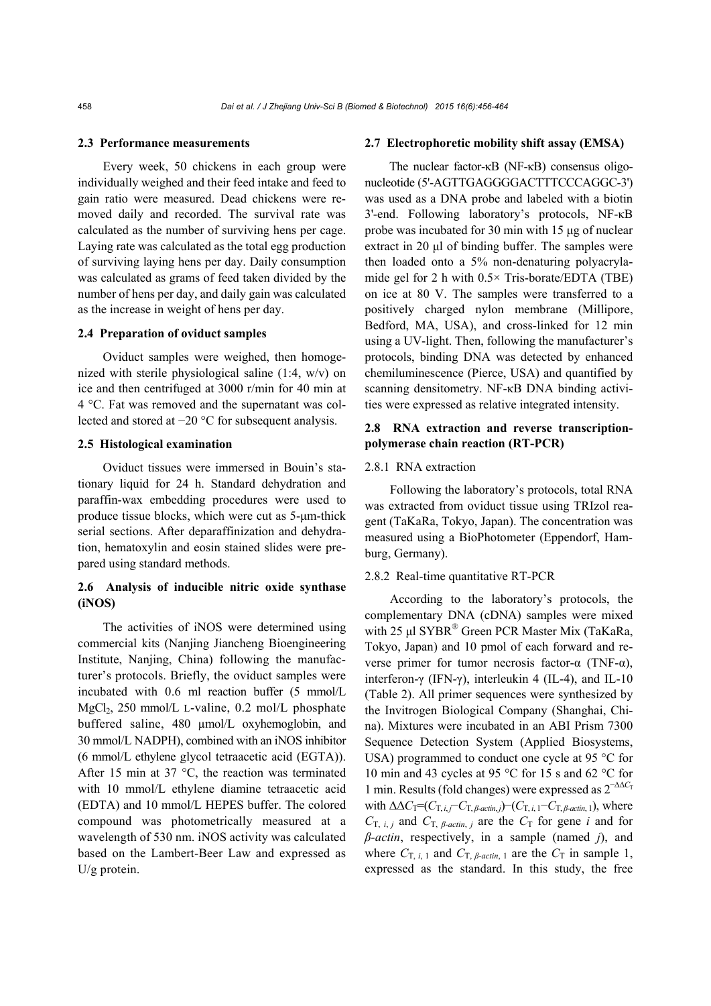#### **2.3 Performance measurements**

Every week, 50 chickens in each group were individually weighed and their feed intake and feed to gain ratio were measured. Dead chickens were removed daily and recorded. The survival rate was calculated as the number of surviving hens per cage. Laying rate was calculated as the total egg production of surviving laying hens per day. Daily consumption was calculated as grams of feed taken divided by the number of hens per day, and daily gain was calculated as the increase in weight of hens per day.

## **2.4 Preparation of oviduct samples**

Oviduct samples were weighed, then homogenized with sterile physiological saline (1:4, w/v) on ice and then centrifuged at 3000 r/min for 40 min at 4 °C. Fat was removed and the supernatant was collected and stored at −20 °C for subsequent analysis.

#### **2.5 Histological examination**

Oviduct tissues were immersed in Bouin's stationary liquid for 24 h. Standard dehydration and paraffin-wax embedding procedures were used to produce tissue blocks, which were cut as 5-μm-thick serial sections. After deparaffinization and dehydration, hematoxylin and eosin stained slides were prepared using standard methods.

## **2.6 Analysis of inducible nitric oxide synthase (iNOS)**

The activities of iNOS were determined using commercial kits (Nanjing Jiancheng Bioengineering Institute, Nanjing, China) following the manufacturer's protocols. Briefly, the oviduct samples were incubated with 0.6 ml reaction buffer (5 mmol/L MgCl<sub>2</sub>, 250 mmol/L L-valine, 0.2 mol/L phosphate buffered saline, 480 µmol/L oxyhemoglobin, and 30 mmol/L NADPH), combined with an iNOS inhibitor (6 mmol/L ethylene glycol tetraacetic acid (EGTA)). After 15 min at 37  $\degree$ C, the reaction was terminated with 10 mmol/L ethylene diamine tetraacetic acid (EDTA) and 10 mmol/L HEPES buffer. The colored compound was photometrically measured at a wavelength of 530 nm. iNOS activity was calculated based on the Lambert-Beer Law and expressed as U/g protein.

#### **2.7 Electrophoretic mobility shift assay (EMSA)**

The nuclear factor-κB (NF-κB) consensus oligonucleotide (5'-AGTTGAGGGGACTTTCCCAGGC-3') was used as a DNA probe and labeled with a biotin 3'-end. Following laboratory's protocols, NF-κB probe was incubated for 30 min with 15 μg of nuclear extract in 20 μl of binding buffer. The samples were then loaded onto a 5% non-denaturing polyacrylamide gel for 2 h with  $0.5 \times$  Tris-borate/EDTA (TBE) on ice at 80 V. The samples were transferred to a positively charged nylon membrane (Millipore, Bedford, MA, USA), and cross-linked for 12 min using a UV-light. Then, following the manufacturer's protocols, binding DNA was detected by enhanced chemiluminescence (Pierce, USA) and quantified by scanning densitometry. NF-κB DNA binding activities were expressed as relative integrated intensity.

## **2.8 RNA extraction and reverse transcriptionpolymerase chain reaction (RT-PCR)**

## 2.8.1 RNA extraction

Following the laboratory's protocols, total RNA was extracted from oviduct tissue using TRIzol reagent (TaKaRa, Tokyo, Japan). The concentration was measured using a BioPhotometer (Eppendorf, Hamburg, Germany).

#### 2.8.2 Real-time quantitative RT-PCR

According to the laboratory's protocols, the complementary DNA (cDNA) samples were mixed with 25 μl SYBR<sup>®</sup> Green PCR Master Mix (TaKaRa, Tokyo, Japan) and 10 pmol of each forward and reverse primer for tumor necrosis factor-α (TNF-α), interferon-γ (IFN-γ), interleukin 4 (IL-4), and IL-10 (Table 2). All primer sequences were synthesized by the Invitrogen Biological Company (Shanghai, China). Mixtures were incubated in an ABI Prism 7300 Sequence Detection System (Applied Biosystems, USA) programmed to conduct one cycle at 95 °C for 10 min and 43 cycles at 95 °C for 15 s and 62 °C for 1 min. Results (fold changes) were expressed as 2<sup>−∆∆C</sup>T with  $\Delta \Delta C_T = (C_{T,i,j} - C_{T,\beta\text{-}action,j}) - (C_{T,i,1} - C_{T,\beta\text{-}action,1})$ , where  $C_{\text{T}, i, j}$  and  $C_{\text{T}, \beta\text{-actin}, j}$  are the  $C_{\text{T}}$  for gene *i* and for *β-actin*, respectively, in a sample (named *j*), and where  $C_{\text{T}, i, 1}$  and  $C_{\text{T}, \beta\text{-actin}, 1}$  are the  $C_{\text{T}}$  in sample 1, expressed as the standard. In this study, the free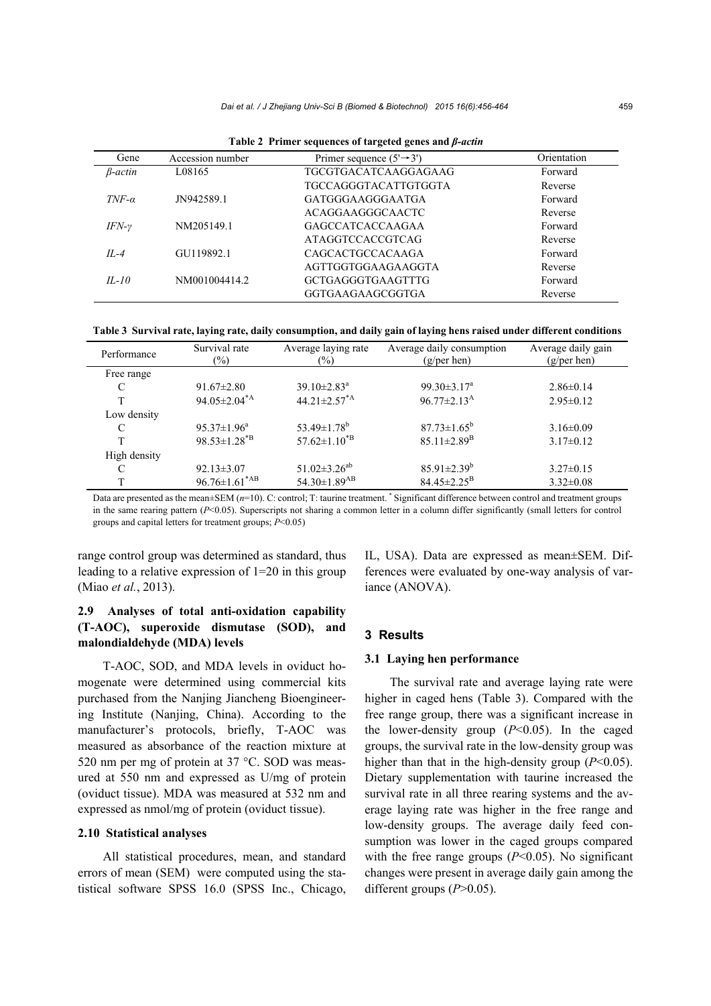| Gene            | Accession number | Primer sequence $(5' \rightarrow 3')$ | Orientation |
|-----------------|------------------|---------------------------------------|-------------|
| <i>B</i> -actin | L08165           | TGCGTGACATCAAGGAGAAG                  | Forward     |
|                 |                  | <b>TGCCAGGGTACATTGTGGTA</b>           | Reverse     |
| $TNF-\alpha$    | JN942589.1       | GATGGGAAGGGAATGA                      | Forward     |
|                 |                  | ACAGGAAGGGCAACTC                      | Reverse     |
| $IFN-\gamma$    | NM205149.1       | <b>GAGCCATCACCAAGAA</b>               | Forward     |
|                 |                  | <b>ATAGGTCCACCGTCAG</b>               | Reverse     |
| $IL-4$          | GU119892.1       | <b>CAGCACTGCCACAAGA</b>               | Forward     |
|                 |                  | AGTTGGTGGAAGAAGGTA                    | Reverse     |
| $IL-10$         | NM001004414.2    | <b>GCTGAGGGTGAAGTTTG</b>              | Forward     |
|                 |                  | GGTGAAGAAGCGGTGA                      | Reverse     |

**Table 2 Primer sequences of targeted genes and** *β-actin*

**Table 3 Survival rate, laying rate, daily consumption, and daily gain of laying hens raised under different conditions**

| Performance   | Survival rate<br>$(\%)$          | Average laying rate<br>$(\%)$     | Average daily consumption<br>$(g/\text{per hen})$ | Average daily gain<br>(g/per hen) |
|---------------|----------------------------------|-----------------------------------|---------------------------------------------------|-----------------------------------|
| Free range    |                                  |                                   |                                                   |                                   |
| C             | $91.67 \pm 2.80$                 | $39.10 \pm 2.83$ <sup>a</sup>     | 99.30 $\pm$ 3.17 <sup>a</sup>                     | $2.86\pm0.14$                     |
| T             | $94.05 \pm 2.04^{\ast}$ A        | $44.21 \pm 2.57^{\ast}$ A         | $96.77 \pm 2.13^{\text{A}}$                       | $2.95 \pm 0.12$                   |
| Low density   |                                  |                                   |                                                   |                                   |
| $\mathcal{C}$ | $95.37 \pm 1.96^a$               | 53.49 $\pm$ 1.78 <sup>b</sup>     | $87.73 \pm 1.65^b$                                | $3.16 \pm 0.09$                   |
| T             | $98.53 \pm 1.28^{*}$ B           | $57.62 \pm 1.10^{*}$ <sup>B</sup> | $85.11 \pm 2.89$ <sup>B</sup>                     | $3.17\pm0.12$                     |
| High density  |                                  |                                   |                                                   |                                   |
| C             | $92.13 \pm 3.07$                 | $51.02 \pm 3.26^{ab}$             | $85.91 \pm 2.39^b$                                | $3.27 \pm 0.15$                   |
| T             | $96.76 \pm 1.61^*$ <sup>AB</sup> | $54.30 \pm 1.89$ <sup>AB</sup>    | $84.45 \pm 2.25^{\rm B}$                          | $3.32 \pm 0.08$                   |

Data are presented as the mean±SEM ( $n=10$ ). C: control; T: taurine treatment. \* Significant difference between control and treatment groups in the same rearing pattern  $(P<0.05)$ . Superscripts not sharing a common letter in a column differ significantly (small letters for control groups and capital letters for treatment groups; *P*<0.05)

range control group was determined as standard, thus leading to a relative expression of 1=20 in this group (Miao *et al.*, 2013).

## **2.9 Analyses of total anti-oxidation capability (T-AOC), superoxide dismutase (SOD), and malondialdehyde (MDA) levels**

T-AOC, SOD, and MDA levels in oviduct homogenate were determined using commercial kits purchased from the Nanjing Jiancheng Bioengineering Institute (Nanjing, China). According to the manufacturer's protocols, briefly, T-AOC was measured as absorbance of the reaction mixture at 520 nm per mg of protein at 37 °C. SOD was measured at 550 nm and expressed as U/mg of protein (oviduct tissue). MDA was measured at 532 nm and expressed as nmol/mg of protein (oviduct tissue).

#### **2.10 Statistical analyses**

All statistical procedures, mean, and standard errors of mean (SEM) were computed using the statistical software SPSS 16.0 (SPSS Inc., Chicago, IL, USA). Data are expressed as mean±SEM. Differences were evaluated by one-way analysis of variance (ANOVA).

## **3 Results**

## **3.1 Laying hen performance**

The survival rate and average laying rate were higher in caged hens (Table 3). Compared with the free range group, there was a significant increase in the lower-density group  $(P<0.05)$ . In the caged groups, the survival rate in the low-density group was higher than that in the high-density group (*P*<0.05). Dietary supplementation with taurine increased the survival rate in all three rearing systems and the average laying rate was higher in the free range and low-density groups. The average daily feed consumption was lower in the caged groups compared with the free range groups  $(P<0.05)$ . No significant changes were present in average daily gain among the different groups (*P*>0.05).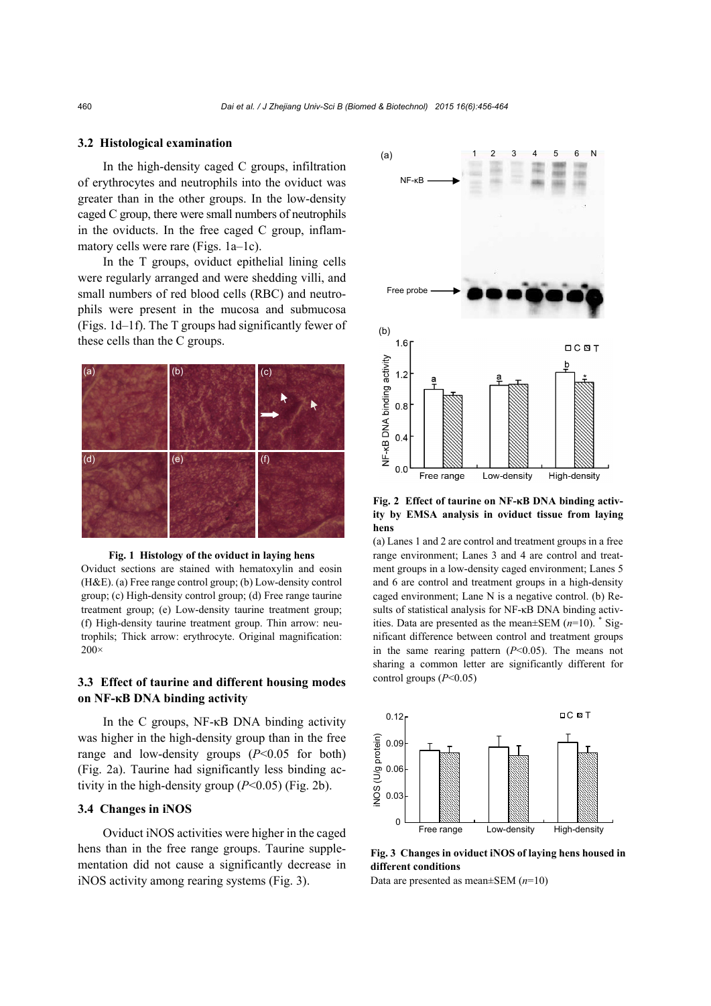#### **3.2 Histological examination**

In the high-density caged C groups, infiltration of erythrocytes and neutrophils into the oviduct was greater than in the other groups. In the low-density caged C group, there were small numbers of neutrophils in the oviducts. In the free caged C group, inflammatory cells were rare (Figs. 1a–1c).

In the T groups, oviduct epithelial lining cells were regularly arranged and were shedding villi, and small numbers of red blood cells (RBC) and neutrophils were present in the mucosa and submucosa (Figs. 1d–1f). The T groups had significantly fewer of these cells than the C groups.





Oviduct sections are stained with hematoxylin and eosin (H&E). (a) Free range control group; (b) Low-density control group; (c) High-density control group; (d) Free range taurine treatment group; (e) Low-density taurine treatment group; (f) High-density taurine treatment group. Thin arrow: neutrophils; Thick arrow: erythrocyte. Original magnification: 200×

## **3.3 Effect of taurine and different housing modes on NF-κB DNA binding activity**

In the C groups, NF-κB DNA binding activity was higher in the high-density group than in the free range and low-density groups  $(P<0.05$  for both) (Fig. 2a). Taurine had significantly less binding activity in the high-density group  $(P<0.05)$  (Fig. 2b).

## **3.4****Changes in iNOS**

Oviduct iNOS activities were higher in the caged hens than in the free range groups. Taurine supplementation did not cause a significantly decrease in iNOS activity among rearing systems (Fig. 3).



**Fig. 2 Effect of taurine on NF-κB DNA binding activity by EMSA analysis in oviduct tissue from laying hens** 

(a) Lanes 1 and 2 are control and treatment groups in a free range environment; Lanes 3 and 4 are control and treatment groups in a low-density caged environment; Lanes 5 and 6 are control and treatment groups in a high-density caged environment; Lane N is a negative control. (b) Results of statistical analysis for NF-κB DNA binding activities. Data are presented as the mean±SEM (*n*=10). \* Significant difference between control and treatment groups in the same rearing pattern  $(P<0.05)$ . The means not sharing a common letter are significantly different for control groups (*P*<0.05)



**Fig. 3 Changes in oviduct iNOS of laying hens housed in different conditions** 

Data are presented as mean±SEM (*n*=10)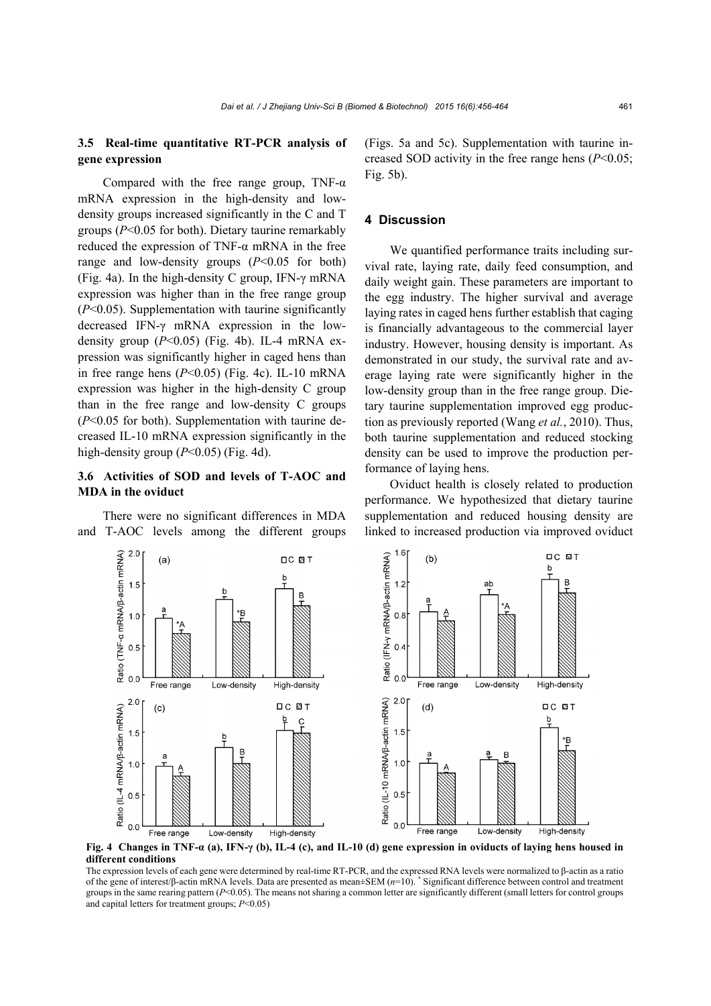## **3.5 Real-time quantitative RT-PCR analysis of gene expression**

Compared with the free range group, TNF- $\alpha$ mRNA expression in the high-density and lowdensity groups increased significantly in the C and T groups (*P*<0.05 for both). Dietary taurine remarkably reduced the expression of TNF-α mRNA in the free range and low-density groups  $(P<0.05$  for both) (Fig. 4a). In the high-density C group, IFN- $\gamma$  mRNA expression was higher than in the free range group (*P*<0.05). Supplementation with taurine significantly decreased IFN-γ mRNA expression in the lowdensity group  $(P<0.05)$  (Fig. 4b). IL-4 mRNA expression was significantly higher in caged hens than in free range hens (*P*<0.05) (Fig. 4c). IL-10 mRNA expression was higher in the high-density C group than in the free range and low-density C groups (*P*<0.05 for both). Supplementation with taurine decreased IL-10 mRNA expression significantly in the high-density group  $(P<0.05)$  (Fig. 4d).

## **3.6 Activities of SOD and levels of T-AOC and MDA in the oviduct**

There were no significant differences in MDA and T-AOC levels among the different groups (Figs. 5a and 5c). Supplementation with taurine increased SOD activity in the free range hens (*P*<0.05; Fig. 5b).

### **4 Discussion**

We quantified performance traits including survival rate, laying rate, daily feed consumption, and daily weight gain. These parameters are important to the egg industry. The higher survival and average laying rates in caged hens further establish that caging is financially advantageous to the commercial layer industry. However, housing density is important. As demonstrated in our study, the survival rate and average laying rate were significantly higher in the low-density group than in the free range group. Dietary taurine supplementation improved egg production as previously reported (Wang *et al.*, 2010). Thus, both taurine supplementation and reduced stocking density can be used to improve the production performance of laying hens.

Oviduct health is closely related to production performance. We hypothesized that dietary taurine supplementation and reduced housing density are linked to increased production via improved oviduct



**Fig. 4 Changes in TNF-α (a), IFN-γ (b), IL-4 (c), and IL-10 (d) gene expression in oviducts of laying hens housed in different conditions** 

The expression levels of each gene were determined by real-time RT-PCR, and the expressed RNA levels were normalized to β-actin as a ratio of the gene of interest/β-actin mRNA levels. Data are presented as mean±SEM (*n*=10). \* Significant difference between control and treatment groups in the same rearing pattern (*P*<0.05). The means not sharing a common letter are significantly different (small letters for control groups and capital letters for treatment groups; *P*<0.05)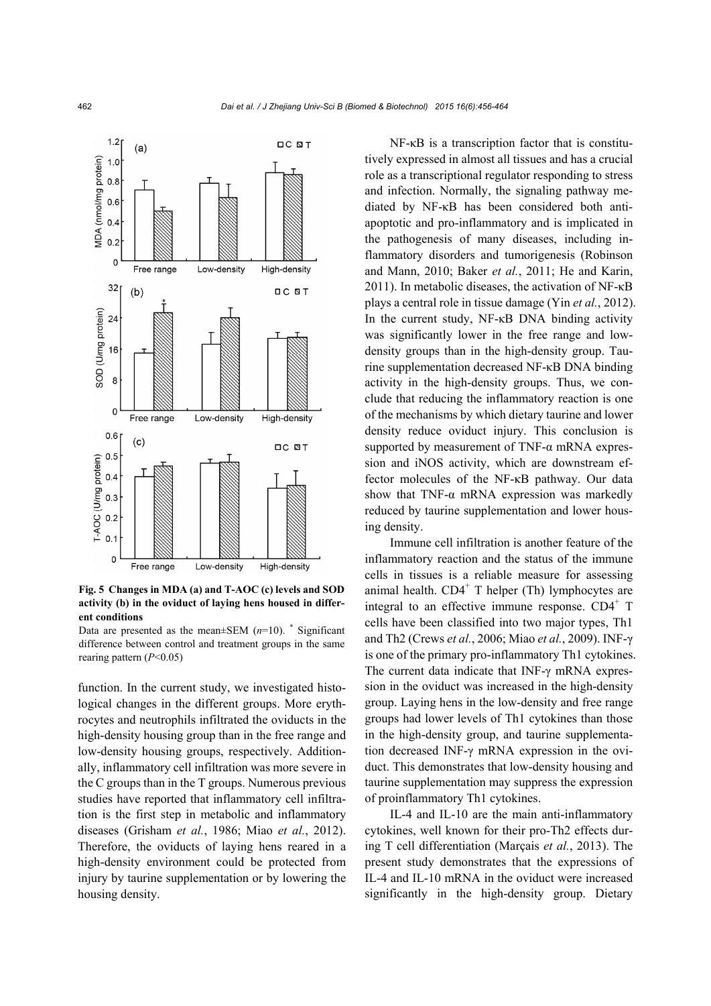

**Fig. 5 Changes in MDA (a) and T-AOC (c) levels and SOD activity (b) in the oviduct of laying hens housed in different conditions** 

Data are presented as the mean $\pm$ SEM ( $n=10$ ). \* Significant difference between control and treatment groups in the same rearing pattern (*P*<0.05)

function. In the current study, we investigated histological changes in the different groups. More erythrocytes and neutrophils infiltrated the oviducts in the high-density housing group than in the free range and low-density housing groups, respectively. Additionally, inflammatory cell infiltration was more severe in the C groups than in the T groups. Numerous previous studies have reported that inflammatory cell infiltration is the first step in metabolic and inflammatory diseases (Grisham *et al.*, 1986; Miao *et al.*, 2012). Therefore, the oviducts of laying hens reared in a high-density environment could be protected from injury by taurine supplementation or by lowering the housing density.

NF-κB is a transcription factor that is constitutively expressed in almost all tissues and has a crucial role as a transcriptional regulator responding to stress and infection. Normally, the signaling pathway mediated by NF-κB has been considered both antiapoptotic and pro-inflammatory and is implicated in the pathogenesis of many diseases, including inflammatory disorders and tumorigenesis (Robinson and Mann, 2010; Baker *et al.*, 2011; He and Karin, 2011). In metabolic diseases, the activation of NF-κB plays a central role in tissue damage (Yin *et al.*, 2012). In the current study, NF-κB DNA binding activity was significantly lower in the free range and lowdensity groups than in the high-density group. Taurine supplementation decreased NF-κB DNA binding activity in the high-density groups. Thus, we conclude that reducing the inflammatory reaction is one of the mechanisms by which dietary taurine and lower density reduce oviduct injury. This conclusion is supported by measurement of TNF- $\alpha$  mRNA expression and iNOS activity, which are downstream effector molecules of the NF-κB pathway. Our data show that TNF- $\alpha$  mRNA expression was markedly reduced by taurine supplementation and lower housing density.

Immune cell infiltration is another feature of the inflammatory reaction and the status of the immune cells in tissues is a reliable measure for assessing animal health.  $CD4<sup>+</sup>$  T helper (Th) lymphocytes are integral to an effective immune response.  $CD4^+$  T cells have been classified into two major types, Th1 and Th2 (Crews *et al.*, 2006; Miao *et al.*, 2009). INF-γ is one of the primary pro-inflammatory Th1 cytokines. The current data indicate that INF-γ mRNA expression in the oviduct was increased in the high-density group. Laying hens in the low-density and free range groups had lower levels of Th1 cytokines than those in the high-density group, and taurine supplementation decreased INF-γ mRNA expression in the oviduct. This demonstrates that low-density housing and taurine supplementation may suppress the expression of proinflammatory Th1 cytokines.

IL-4 and IL-10 are the main anti-inflammatory cytokines, well known for their pro-Th2 effects during T cell differentiation (Marçais *et al.*, 2013). The present study demonstrates that the expressions of IL-4 and IL-10 mRNA in the oviduct were increased significantly in the high-density group. Dietary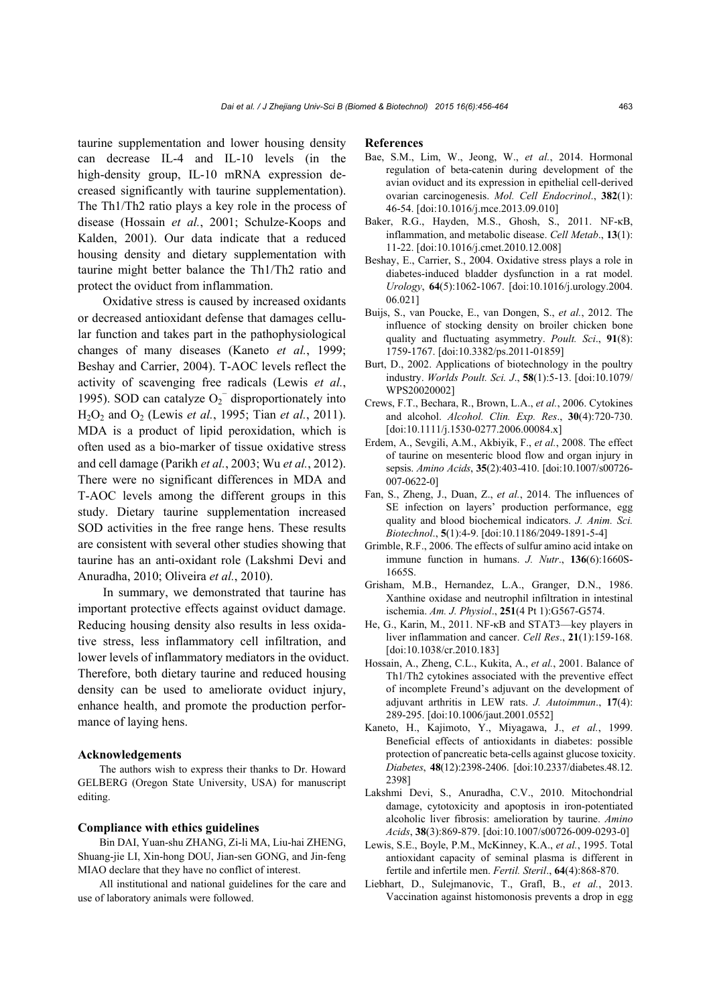taurine supplementation and lower housing density can decrease IL-4 and IL-10 levels (in the high-density group, IL-10 mRNA expression decreased significantly with taurine supplementation). The Th1/Th2 ratio plays a key role in the process of disease (Hossain *et al.*, 2001; Schulze-Koops and Kalden, 2001). Our data indicate that a reduced housing density and dietary supplementation with taurine might better balance the Th1/Th2 ratio and protect the oviduct from inflammation.

Oxidative stress is caused by increased oxidants or decreased antioxidant defense that damages cellular function and takes part in the pathophysiological changes of many diseases (Kaneto *et al.*, 1999; Beshay and Carrier, 2004). T-AOC levels reflect the activity of scavenging free radicals (Lewis *et al.*, 1995). SOD can catalyze  $O_2^-$  disproportionately into H2O2 and O2 (Lewis *et al.*, 1995; Tian *et al.*, 2011). MDA is a product of lipid peroxidation, which is often used as a bio-marker of tissue oxidative stress and cell damage (Parikh *et al.*, 2003; Wu *et al.*, 2012). There were no significant differences in MDA and T-AOC levels among the different groups in this study. Dietary taurine supplementation increased SOD activities in the free range hens. These results are consistent with several other studies showing that taurine has an anti-oxidant role (Lakshmi Devi and Anuradha, 2010; Oliveira *et al.*, 2010).

In summary, we demonstrated that taurine has important protective effects against oviduct damage. Reducing housing density also results in less oxidative stress, less inflammatory cell infiltration, and lower levels of inflammatory mediators in the oviduct. Therefore, both dietary taurine and reduced housing density can be used to ameliorate oviduct injury, enhance health, and promote the production performance of laying hens.

#### **Acknowledgements**

The authors wish to express their thanks to Dr. Howard GELBERG (Oregon State University, USA) for manuscript editing.

#### **Compliance with ethics guidelines**

Bin DAI, Yuan-shu ZHANG, Zi-li MA, Liu-hai ZHENG, Shuang-jie LI, Xin-hong DOU, Jian-sen GONG, and Jin-feng MIAO declare that they have no conflict of interest.

All institutional and national guidelines for the care and use of laboratory animals were followed.

#### **References**

- Bae, S.M., Lim, W., Jeong, W., *et al.*, 2014. Hormonal regulation of beta-catenin during development of the avian oviduct and its expression in epithelial cell-derived ovarian carcinogenesis. *Mol. Cell Endocrinol*., **382**(1): 46-54. [doi:10.1016/j.mce.2013.09.010]
- Baker, R.G., Hayden, M.S., Ghosh, S., 2011. NF-κB, inflammation, and metabolic disease. *Cell Metab*., **13**(1): 11-22. [doi:10.1016/j.cmet.2010.12.008]
- Beshay, E., Carrier, S., 2004. Oxidative stress plays a role in diabetes-induced bladder dysfunction in a rat model. *Urology*, **64**(5):1062-1067. [doi:10.1016/j.urology.2004. 06.021]
- Buijs, S., van Poucke, E., van Dongen, S., *et al.*, 2012. The influence of stocking density on broiler chicken bone quality and fluctuating asymmetry. *Poult. Sci*., **91**(8): 1759-1767. [doi:10.3382/ps.2011-01859]
- Burt, D., 2002. Applications of biotechnology in the poultry industry. *Worlds Poult. Sci. J*., **58**(1):5-13. [doi:10.1079/ WPS20020002]
- Crews, F.T., Bechara, R., Brown, L.A., *et al.*, 2006. Cytokines and alcohol. *Alcohol. Clin. Exp. Res*., **30**(4):720-730. [doi:10.1111/j.1530-0277.2006.00084.x]
- Erdem, A., Sevgili, A.M., Akbiyik, F., *et al.*, 2008. The effect of taurine on mesenteric blood flow and organ injury in sepsis. *Amino Acids*, **35**(2):403-410. [doi:10.1007/s00726- 007-0622-0]
- Fan, S., Zheng, J., Duan, Z., *et al.*, 2014. The influences of SE infection on layers' production performance, egg quality and blood biochemical indicators. *J. Anim. Sci. Biotechnol*., **5**(1):4-9. [doi:10.1186/2049-1891-5-4]
- Grimble, R.F., 2006. The effects of sulfur amino acid intake on immune function in humans. *J. Nutr*., **136**(6):1660S-1665S.
- Grisham, M.B., Hernandez, L.A., Granger, D.N., 1986. Xanthine oxidase and neutrophil infiltration in intestinal ischemia. *Am. J. Physiol*., **251**(4 Pt 1):G567-G574.
- He, G., Karin, M., 2011. NF-κB and STAT3—key players in liver inflammation and cancer. *Cell Res*., **21**(1):159-168. [doi:10.1038/cr.2010.183]
- Hossain, A., Zheng, C.L., Kukita, A., *et al.*, 2001. Balance of Th1/Th2 cytokines associated with the preventive effect of incomplete Freund's adjuvant on the development of adjuvant arthritis in LEW rats. *J. Autoimmun*., **17**(4): 289-295. [doi:10.1006/jaut.2001.0552]
- Kaneto, H., Kajimoto, Y., Miyagawa, J., *et al.*, 1999. Beneficial effects of antioxidants in diabetes: possible protection of pancreatic beta-cells against glucose toxicity. *Diabetes*, **48**(12):2398-2406. [doi:10.2337/diabetes.48.12. 2398]
- Lakshmi Devi, S., Anuradha, C.V., 2010. Mitochondrial damage, cytotoxicity and apoptosis in iron-potentiated alcoholic liver fibrosis: amelioration by taurine. *Amino Acids*, **38**(3):869-879. [doi:10.1007/s00726-009-0293-0]
- Lewis, S.E., Boyle, P.M., McKinney, K.A., *et al.*, 1995. Total antioxidant capacity of seminal plasma is different in fertile and infertile men. *Fertil. Steril*., **64**(4):868-870.
- Liebhart, D., Sulejmanovic, T., Grafl, B., *et al.*, 2013. Vaccination against histomonosis prevents a drop in egg